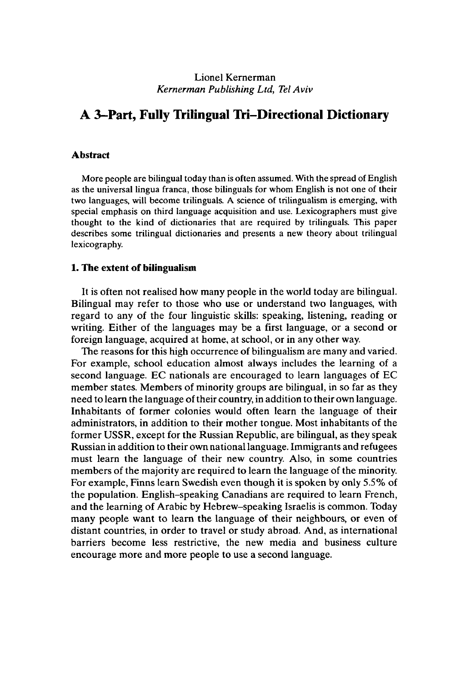### Lionel Kernerman *Kernerman Publishing Ltd, Tel Aviv*

# **A 3-Part, Fully Trilingual Tri-Directional Dictionary**

#### **Abstract**

More people are bilingual today than is often assumed. With the spread of English as the universal lingua franca, those bilinguals for whom English is not one of their two languages, will become trilinguals. A science of trilingualism is emerging, with special emphasis on third language acquisition and use. Lexicographers must give thought to the kind of dictionaries that are required by trilinguals. This paper describes some trilingual dictionaries and presents a new theory about trilingual lexicography.

#### **1. The extent of bilingualism**

It is often not realised how many people in the world today are bilingual. Bilingual may refer to those who use or understand two languages, with regard to any of the four linguistic skills: speaking, listening, reading or writing. Either of the languages may be a first language, or a second or foreign language, acquired at home, at school, or in any other way.

The reasons for this high occurrence of bilingualism are many and varied. For example, school education almost always includes the learning of a second language. EC nationals are encouraged to learn languages of EC member states. Members of minority groups are bilingual, in so far as they need to learn the language oftheir country, in addition to their own language. Inhabitants of former colonies would often learn the language of their administrators, in addition to their mother tongue. Most inhabitants of the former USSR, except for the Russian Republic, are bilingual, as they speak Russian in addition to their own nationallanguage. Immigrants and refugees must learn the language of their new country. Also, in some countries members of the majority are required to learn the language of the minority. For example, Finns learn Swedish even though it is spoken by only 5.5% of the population. English-speaking Canadians are required to learn French, and the learning of Arabic by Hebrew-speaking Israelis is common. Today many people want to learn the language of their neighbours, or even of distant countries, in order to travel or study abroad. And, as international barriers become less restrictive, the new media and business culture encourage more and more people to use a second language.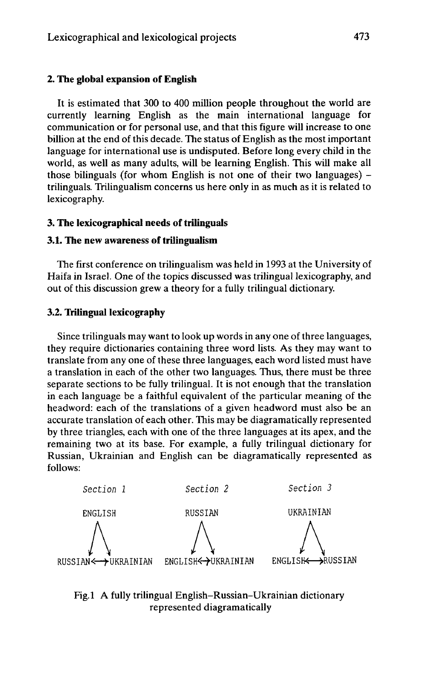### **2. The global expansion of English**

**It** is estimated that 300 to 400 million people throughout the world are currently learning English as the main international language for communication or for personal use, and that this figure will increase to one billion at the end of this decade. The status of English as the most important language for international use is undisputed. Before long every child in the world, as well as many adults, will be learning English. This will make all those bilinguals (for whom English is not one of their two languages)  $$ trilinguals. Trilingualism concerns us here only in as much as it is related to lexicography.

#### **3. The lexicographical needs of trilinguals**

#### **3.1. The new awareness of trilingualism**

The first conference on trilingualism was held in 1993 at the University of Haifa in Israel. One of the topics discussed was trilingual lexicography, and out of this discussion grew a theory for a fully trilingual dictionary.

#### **3.2. Trilingual lexicography**

Since trilinguals may want to look up words in any one of three languages, they require dictionaries containing three word lists. As they may want to translate from any one of these three languages, each word listed must have a translation in each of the other two languages. Thus, there must be three separate sections to be fully trilingual. It is not enough that the translation in each language be a faithful equivalent of the particular meaning of the headword: each of the translations of a given headword must also be an accurate translation of each other. This may be diagramatically represented by three triangles, each with one of the three languages at its apex, and the remaining two at its base. For example, a fully trilingual dictionary for Russian, Ukrainian and English can be diagramatically represented as follows:



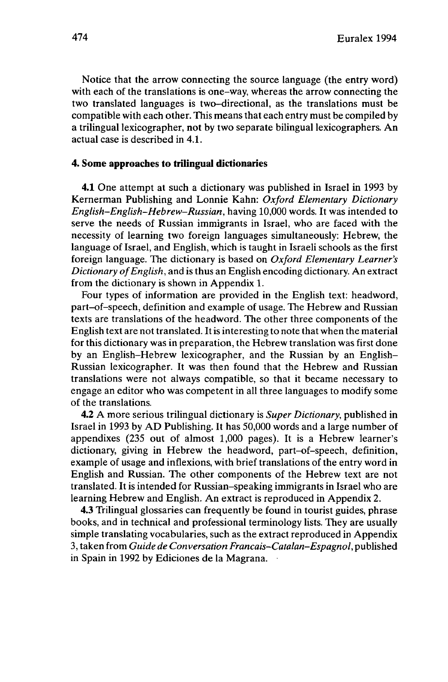Notice that the arrow connecting the source language (the entry word) with each of the translations is one-way, whereas the arrow connecting the two translated languages is two-directional, as the translations must be compatible with each other. This means that each entry must be compiled by a trilingual lexicographer, not by two separate bilingual lexicographers. An actual case is described in 4.1.

#### **4. Some approaches to trilingual dictionaries**

**4.1** One attempt at such a dictionary was published in Israel in 1993 by Kernerman Publishing and Lonnie Kahn: *Oxford Elementary Dictionary English-English-Hebrew-Russian,* having 10,000 words. It was intended to serve the needs of Russian immigrants in Israel, who are faced with the necessity of learning two foreign languages simultaneously: Hebrew, the language of Israel, and English, which is taught in Israeli schools as the first foreign language. The dictionary is based on *Oxford Elementary Learner's Dictionary ofEnglish,* and is thus an English encoding dictionary. An extract from the dictionary is shown in Appendix 1.

Four types of information are provided in the English text: headword, part-of-speech, definition and example of usage. The Hebrew and Russian texts are translations of the headword. The other three components of the English text are not translated. It is interesting to note that when the material for this dictionary was in preparation, the Hebrew translation was first done by an English-Hebrew lexicographer, and the Russian by an English-Russian lexicographer. It was then found that the Hebrew and Russian translations were not always compatible, so that it became necessary to engage an editor who was competent in all three languages to modify some of the translations.

4.2 A more serious trilingual dictionary is *Super Dictionary,* published in Israel in 1993 by AD Publishing. It has 50,000 words and a large number of appendixes (235 out of almost 1,000 pages). It is a Hebrew learner's dictionary, giving in Hebrew the headword, part-of-speech, definition, example of usage and inflexions, with brief translations of the entry word in English and Russian. The other components of the Hebrew text are not translated. It is intended for Russian-speaking immigrants in Israel who are learning Hebrew and English. An extract is reproduced in Appendix 2.

4.3 Trilingual glossaries can frequently be found in tourist guides, phrase books, and in technical and professional terminology lists. They are usually simple translating vocabularies, such as the extract reproduced in Appendix 3, taken from *Guide de Conversation Francais-Catalan-Espagnol,* published in Spain in 1992 by Ediciones de la Magrana.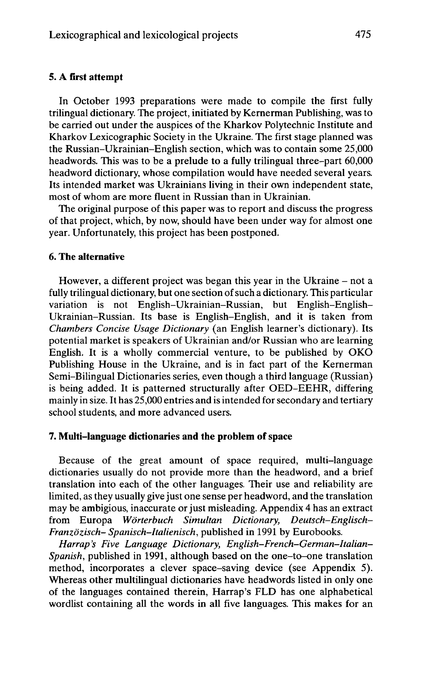#### **5. A first attempt**

In October 1993 preparations were made to compile the first fully trilingual dictionary. The project, initiated by Kernerman Publishing, was to be carried out under the auspices of the Kharkov Polytechnic Institute and Kharkov Lexicographic Society in the Ukraine. The first stage planned was the Russian-Ukrainian-English section, which was to contain some 25,000 headwords. This was to be a prelude to a fully trilingual three-part 60,000 headword dictionary, whose compilation would have needed several years. Its intended market was Ukrainians living in their own independent state, most of whom are more fluent in Russian than in Ukrainian.

The original purpose of this paper was to report and discuss the progress of that project, which, by now, should have been under way for almost one year. Unfortunately, this project has been postponed.

### **6. The alternative**

However, a different project was began this year in the Ukraine  $-$  not a fully trilingual dictionary, but one section of such a dictionary. This particular variation is not English-Ukrainian-Russian, but English-English-Ukrainian-Russian. Its base is English-English, and it is taken from *Chambers Concise Usage Dictionary* (an English learner's dictionary). Its potential market is speakers of Ukrainian and/or Russian who are learning English. It is a wholly commercial venture, to be published by OKO Publishing House in the Ukraine, and is in fact part of the Kernerman Semi-Bilingual Dictionaries series, even though a third language (Russian) is being added. It is patterned structurally after OED-EEHR, differing mainly in size. It has 25,000 entries and is intended for secondary and tertiary school students, and more advanced users.

### **7. Multi-language dictionaries and the problem ofspace**

Because of the great amount of space required, multi-language dictionaries usually do not provide more than the headword, and a brief translation into each of the other languages. Their use and reliability are limited, as they usually give just one sense per headword, and the translation may be ambigious, inaccurate or just misleading. Appendix 4 has an extract from Europa *Wörterbuch Simultan Dictionary, Deutsch-Englisch-Franzözisch- Spanisch-Italienisch,* published in 1991 by Eurobooks.

*Harrap's Five Language Dictionary, English-French-German-Italian-Spanish,* published in 1991, although based on the one-to-one translation method, incorporates a clever space-saving device (see Appendix 5). Whereas other multilingual dictionaries have headwords listed in only one of the languages contained therein, Harrap's FLD has one alphabetical wordlist containing all the words in all five languages. This makes for an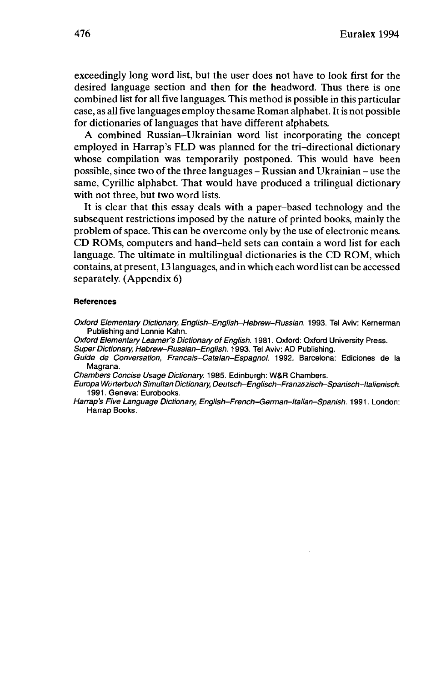exceedingly long word list, but the user does not have to look first for the desired language section and then for the headword. Thus there is one combined list for all five languages. This method is possible in this particular case, as all five languages employ the same Roman alphabet. Itis not possible for dictionaries of languages that have different alphabets.

A combined Russian-Ukrainian word list incorporating the concept employed in Harrap's FLD was planned for the tri-directional dictionary whose compilation was temporarily postponed. This would have been possible, since two of the three languages - Russian and Ukrainian - use the same, Cyrillic alphabet. That would have produced a trilingual dictionary with not three, but two word lists.

It is clear that this essay deals with a paper-based technology and the subsequent restrictions imposed by the nature of printed books, mainly the problem of space. This can be overcome only by the use of electronic means. CD ROMs, computers and hand-held sets can contain a word list for each language. The ultimate in multilingual dictionaries is the CD ROM, which contains, at present, 13 languages, and in which each word list can be accessed separately. (Appendix 6)

#### **References**

Oxford Elementary Dictionary, English-English-Hebrew-Russian. 1993. Tel Aviv: Kernerman Publishing and Lonnie Kahn.

Oxford Elementary Learner's Dictionary of English. 1981. Oxford: Oxford University Press.

Super Dictionary, Hebrew-Russian-English. 1993. Tel Aviv: AD Publishing.

Guide de Conversation, Francais-Catalan-Espagnol. 1992. Barcelona: Ediciones de la Magrana.

Chambers Concise Usage Dictionary. 1985. Edinburgh: W&R Chambers.

Europa Wörterbuch Simultan Dictionary, Deutsch-Englisch-Franzözisch-Spanisch-Italienisch 1991. Geneva: Eurobooks.

Harrap's Five Language Dictionary, English-French-German-ltalian-Spanish. 1991. London: Harrap Books.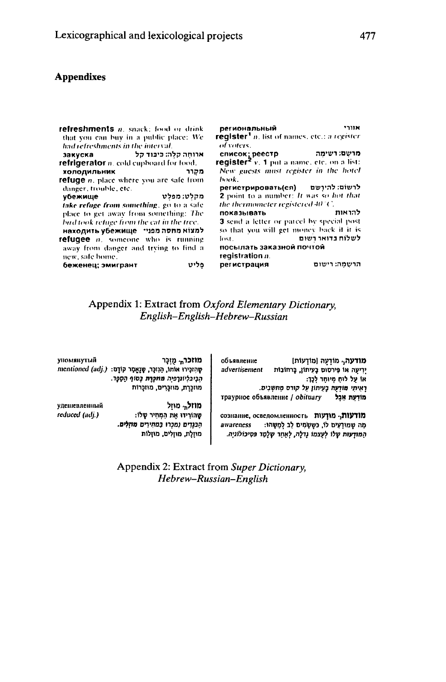### **Appendixes**

| refreshments n. snack: food or drink<br>that you can buy in a public place: We<br>had refreshments in the interval.                                                                                                                                                             | אזורי<br>региональный<br>register <sup>1</sup> n. list of names, etc.; a register<br>of voters.                                                                                                                                                 |
|---------------------------------------------------------------------------------------------------------------------------------------------------------------------------------------------------------------------------------------------------------------------------------|-------------------------------------------------------------------------------------------------------------------------------------------------------------------------------------------------------------------------------------------------|
| ארוחה קלה: כיבוד קל<br>refrigerator n. cold cupboard for lood.<br>холодильник<br>מקרר                                                                                                                                                                                           | מרשִׁם: רשימָה "cnиcox; peecтp<br>register <sup>2</sup> v. 1 put a name, etc. on a list:<br>New guests must register in the hotel                                                                                                               |
| <b>refuge</b> <i>n</i> , place where you are safe from<br>danger, trouble, etc.<br>מקלט: מפלט<br>убежище<br>take refuge from something, go to a safe<br>place to get away from something: The<br>bud took refuge from the cat in the tree.<br>למצוא מחסה מפני־ находить убежище | book.<br>לרשום: להירשם (регистрировать(ся<br>2 point to a number: It was so hot that<br>the thermometer registered $40^\circ$ C.<br>להראות חספו להראות<br>3 send a letter or parcel by special post<br>so that you will get money back if it is |
| refugee <i>n</i> , someone who is running<br>away from danger and trying to find a<br>new, safe home.<br>беженец; эмигрант<br>פליט                                                                                                                                              | <b>Fost.</b> לשלוח בדואר רשום<br>посылать заказной почтой<br>registration n.<br>הרשמה: רישום<br>регистрация                                                                                                                                     |

# Appendix 1: Extract from Oxford Elementary Dictionary, English-English-Hebrew-Russian

| объявление    | מודעה, מוֹדְעַה (מוֹדְעוֹת)                       |
|---------------|---------------------------------------------------|
| advertisement | יִרְיעָה אוֹ פִּירסוּם בָּעִיתוֹן, בָרחוֹבוֹת     |
|               | או על לוח מיוחד לכך:                              |
|               | רְאִיתִי מוֹדְעָה בָעִיתוֹן עָל קורס מַחִשְׁבִים. |
|               | траурное объявление / obituary<br>מודעת אַבַל     |

מודעות, מודעות כסווнине, осведомленность מָה שַמוּדְעִים לוֹ, כּשֵׁשָׂמִים לָב לְמְשָׁהוּ: awareness המודעות שלו לעצמו גדלה, לאחר שלמד פסיכולוגיה.

упомянутый מוזכר<sub>ת</sub> מֻזְכָּר שְהַזְכָּירוּ אוֹתוֹ, הַנְזְכָר, שָׁנָאֲמָר קוֹדָם: (.mentioned (adj הְבִיכִּלְיוֹנַךְפִיָה מחכָרֶת בְּסוֹף הַסֲמֶך. מוזכרת, מוזכרים, מוזכרות

удешевленный reduced (adj.)

שָהוֹרִידוּ אֶת הַמְחִיר שָלוֹ: הַכַּנְדִים נְמַכְּרוּ בְּמַחִירִים מּוֹזְלָים. מוזלת, מוזלים, מוזלות

מוזל<sub>ת</sub> מוזל

Appendix 2: Extract from Super Dictionary, Hebrew-Russian-English